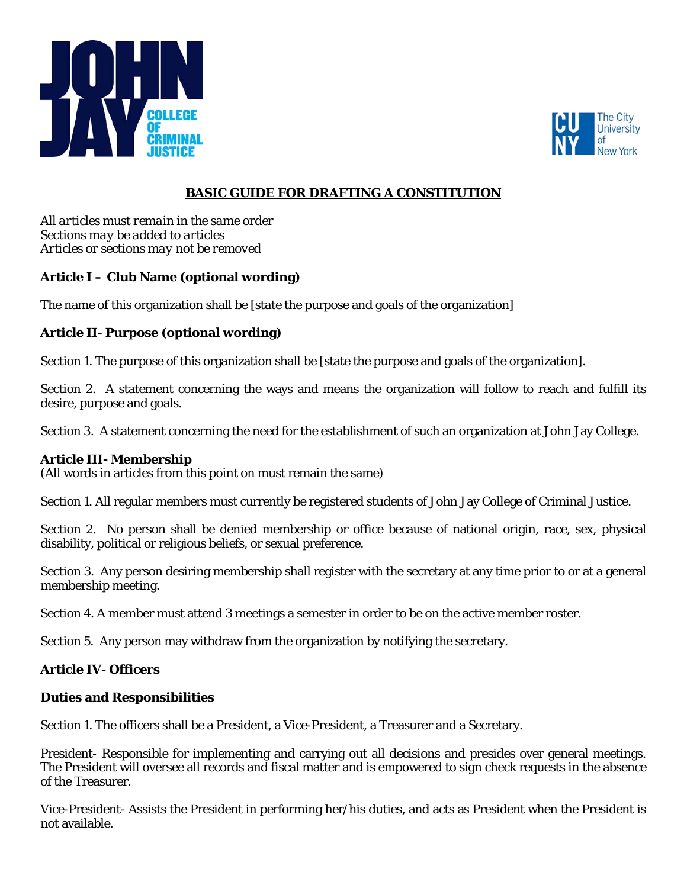



# **BASIC GUIDE FOR DRAFTING A CONSTITUTION**

*All articles must remain in the same order Sections may be added to articles Articles or sections may not be removed* 

# **Article I – Club Name (optional wording)**

The name of this organization shall be [state the purpose and goals of the organization]

# **Article II- Purpose (optional wording)**

Section 1. The purpose of this organization shall be [state the purpose and goals of the organization].

Section 2. A statement concerning the ways and means the organization will follow to reach and fulfill its desire, purpose and goals.

Section 3. A statement concerning the need for the establishment of such an organization at John Jay College.

### **Article III- Membership**

(All words in articles from this point on must remain the same)

Section 1. All regular members must currently be registered students of John Jay College of Criminal Justice.

Section 2. No person shall be denied membership or office because of national origin, race, sex, physical disability, political or religious beliefs, or sexual preference.

Section 3. Any person desiring membership shall register with the secretary at any time prior to or at a general membership meeting.

Section 4. A member must attend 3 meetings a semester in order to be on the active member roster.

Section 5. Any person may withdraw from the organization by notifying the secretary.

### **Article IV- Officers**

#### **Duties and Responsibilities**

Section 1. The officers shall be a President, a Vice-President, a Treasurer and a Secretary.

President- Responsible for implementing and carrying out all decisions and presides over general meetings. The President will oversee all records and fiscal matter and is empowered to sign check requests in the absence of the Treasurer.

Vice-President- Assists the President in performing her/his duties, and acts as President when the President is not available.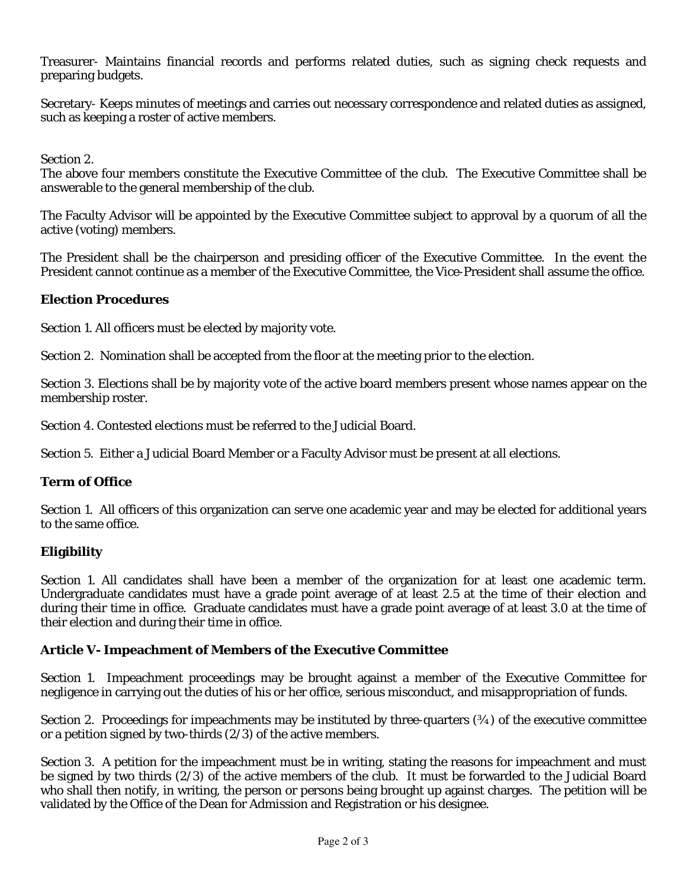Treasurer- Maintains financial records and performs related duties, such as signing check requests and preparing budgets.

Secretary- Keeps minutes of meetings and carries out necessary correspondence and related duties as assigned, such as keeping a roster of active members.

Section 2.

The above four members constitute the Executive Committee of the club. The Executive Committee shall be answerable to the general membership of the club.

The Faculty Advisor will be appointed by the Executive Committee subject to approval by a quorum of all the active (voting) members.

The President shall be the chairperson and presiding officer of the Executive Committee. In the event the President cannot continue as a member of the Executive Committee, the Vice-President shall assume the office.

### **Election Procedures**

Section 1. All officers must be elected by majority vote.

Section 2. Nomination shall be accepted from the floor at the meeting prior to the election.

Section 3. Elections shall be by majority vote of the active board members present whose names appear on the membership roster.

Section 4. Contested elections must be referred to the Judicial Board.

Section 5. Either a Judicial Board Member or a Faculty Advisor must be present at all elections.

### **Term of Office**

Section 1. All officers of this organization can serve one academic year and may be elected for additional years to the same office.

### **Eligibility**

Section 1. All candidates shall have been a member of the organization for at least one academic term. Undergraduate candidates must have a grade point average of at least 2.5 at the time of their election and during their time in office. Graduate candidates must have a grade point average of at least 3.0 at the time of their election and during their time in office.

#### **Article V- Impeachment of Members of the Executive Committee**

Section 1. Impeachment proceedings may be brought against a member of the Executive Committee for negligence in carrying out the duties of his or her office, serious misconduct, and misappropriation of funds.

Section 2. Proceedings for impeachments may be instituted by three-quarters (%) of the executive committee or a petition signed by two-thirds (2/3) of the active members.

Section 3. A petition for the impeachment must be in writing, stating the reasons for impeachment and must be signed by two thirds (2/3) of the active members of the club. It must be forwarded to the Judicial Board who shall then notify, in writing, the person or persons being brought up against charges. The petition will be validated by the Office of the Dean for Admission and Registration or his designee.